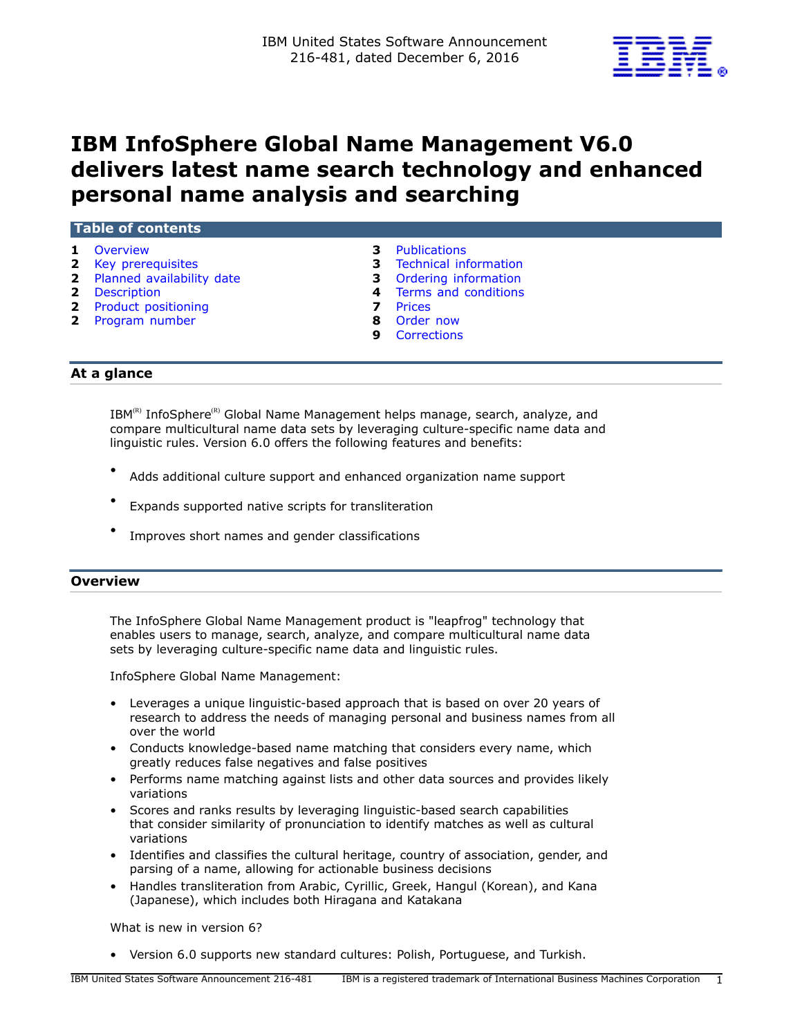

# **IBM InfoSphere Global Name Management V6.0 delivers latest name search technology and enhanced personal name analysis and searching**

| LI ADIE OL CONCENTS                                                                                                                   |        |                                                                                                                                                          |  |  |
|---------------------------------------------------------------------------------------------------------------------------------------|--------|----------------------------------------------------------------------------------------------------------------------------------------------------------|--|--|
| 1 Overview<br><b>2</b> Key prerequisites<br>2 Planned availability date<br>2 Description<br>2 Product positioning<br>2 Program number | 8<br>9 | <b>3</b> Publications<br><b>3</b> Technical information<br><b>3</b> Ordering information<br>4 Terms and conditions<br>Prices<br>Order now<br>Corrections |  |  |
|                                                                                                                                       |        |                                                                                                                                                          |  |  |

# **At a glance**

**Table of contents**

 $IBM^{(R)}$  InfoSphere<sup>(R)</sup> Global Name Management helps manage, search, analyze, and compare multicultural name data sets by leveraging culture-specific name data and linguistic rules. Version 6.0 offers the following features and benefits:

- Adds additional culture support and enhanced organization name support
- Expands supported native scripts for transliteration
- Improves short names and gender classifications

#### <span id="page-0-0"></span>**Overview**

The InfoSphere Global Name Management product is "leapfrog" technology that enables users to manage, search, analyze, and compare multicultural name data sets by leveraging culture-specific name data and linguistic rules.

InfoSphere Global Name Management:

- Leverages a unique linguistic-based approach that is based on over 20 years of research to address the needs of managing personal and business names from all over the world
- Conducts knowledge-based name matching that considers every name, which greatly reduces false negatives and false positives
- Performs name matching against lists and other data sources and provides likely variations
- Scores and ranks results by leveraging linguistic-based search capabilities that consider similarity of pronunciation to identify matches as well as cultural variations
- Identifies and classifies the cultural heritage, country of association, gender, and parsing of a name, allowing for actionable business decisions
- Handles transliteration from Arabic, Cyrillic, Greek, Hangul (Korean), and Kana (Japanese), which includes both Hiragana and Katakana

What is new in version 6?

• Version 6.0 supports new standard cultures: Polish, Portuguese, and Turkish.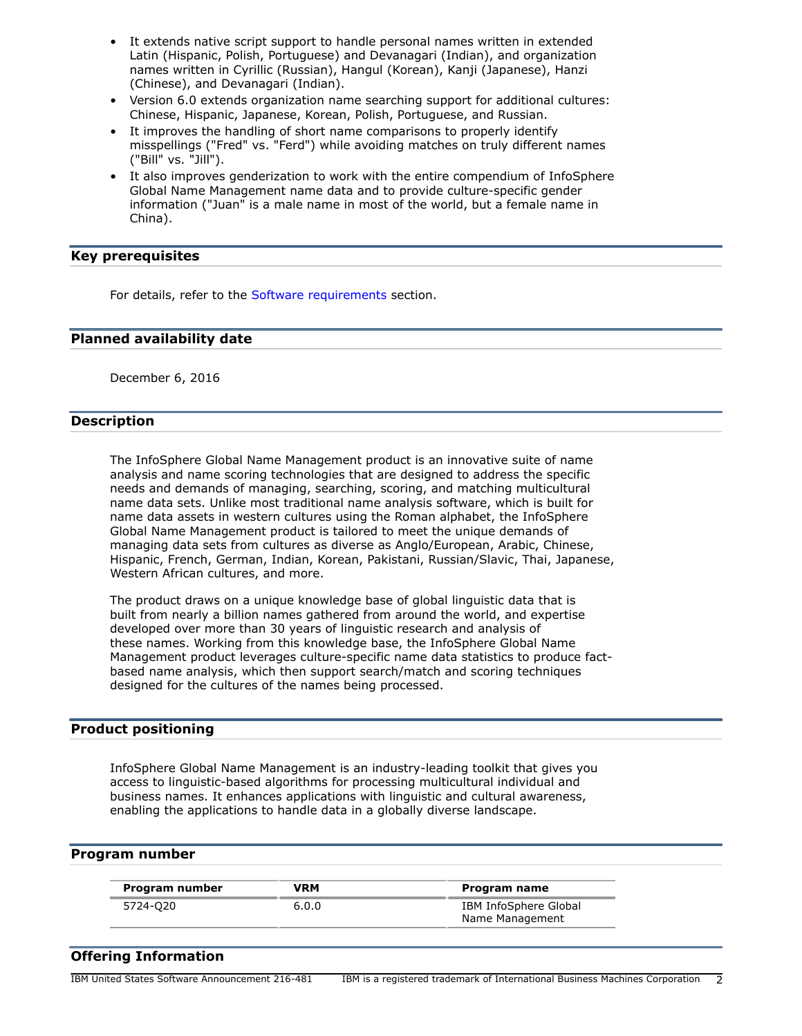- It extends native script support to handle personal names written in extended Latin (Hispanic, Polish, Portuguese) and Devanagari (Indian), and organization names written in Cyrillic (Russian), Hangul (Korean), Kanji (Japanese), Hanzi (Chinese), and Devanagari (Indian).
- Version 6.0 extends organization name searching support for additional cultures: Chinese, Hispanic, Japanese, Korean, Polish, Portuguese, and Russian.
- It improves the handling of short name comparisons to properly identify misspellings ("Fred" vs. "Ferd") while avoiding matches on truly different names ("Bill" vs. "Jill").
- It also improves genderization to work with the entire compendium of InfoSphere Global Name Management name data and to provide culture-specific gender information ("Juan" is a male name in most of the world, but a female name in China).

## <span id="page-1-0"></span>**Key prerequisites**

For details, refer to the [Software requirements](#page-2-3) section.

## <span id="page-1-1"></span>**Planned availability date**

December 6, 2016

## <span id="page-1-2"></span>**Description**

The InfoSphere Global Name Management product is an innovative suite of name analysis and name scoring technologies that are designed to address the specific needs and demands of managing, searching, scoring, and matching multicultural name data sets. Unlike most traditional name analysis software, which is built for name data assets in western cultures using the Roman alphabet, the InfoSphere Global Name Management product is tailored to meet the unique demands of managing data sets from cultures as diverse as Anglo/European, Arabic, Chinese, Hispanic, French, German, Indian, Korean, Pakistani, Russian/Slavic, Thai, Japanese, Western African cultures, and more.

The product draws on a unique knowledge base of global linguistic data that is built from nearly a billion names gathered from around the world, and expertise developed over more than 30 years of linguistic research and analysis of these names. Working from this knowledge base, the InfoSphere Global Name Management product leverages culture-specific name data statistics to produce factbased name analysis, which then support search/match and scoring techniques designed for the cultures of the names being processed.

#### <span id="page-1-3"></span>**Product positioning**

InfoSphere Global Name Management is an industry-leading toolkit that gives you access to linguistic-based algorithms for processing multicultural individual and business names. It enhances applications with linguistic and cultural awareness, enabling the applications to handle data in a globally diverse landscape.

#### <span id="page-1-4"></span>**Program number**

| Program number | VRM   | Program name          |
|----------------|-------|-----------------------|
| 5724-020       | 6.0.0 | IBM InfoSphere Global |
|                |       | Name Management       |

# **Offering Information**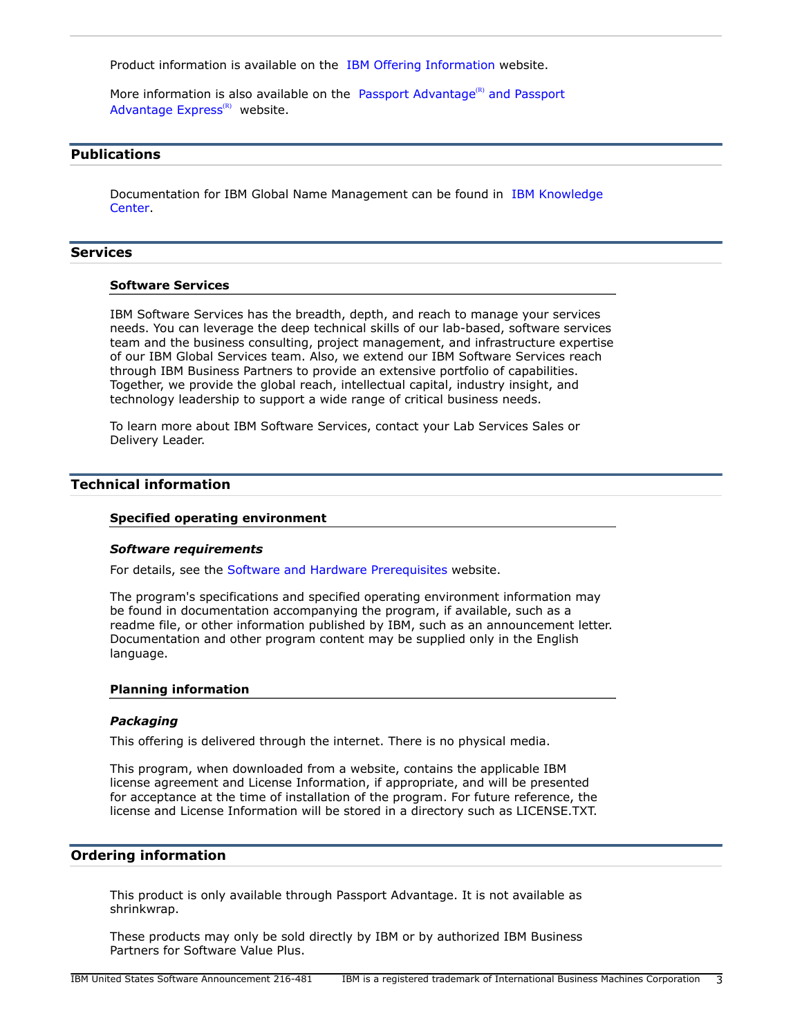Product information is available on the [IBM Offering Information](http://www.ibm.com/common/ssi) website.

More information is also available on the [Passport Advantage](http://www.ibm.com/software/passportadvantage)<sup>(R)</sup> and Passport [Advantage Express](http://www.ibm.com/software/passportadvantage) $(R)$  website.

# <span id="page-2-0"></span>**Publications**

Documentation for IBM Global Name Management can be found in [IBM Knowledge](https://www.ibm.com/support/knowledgecenter/SSEV5M_6.0.0) [Center](https://www.ibm.com/support/knowledgecenter/SSEV5M_6.0.0).

#### **Services**

#### **Software Services**

IBM Software Services has the breadth, depth, and reach to manage your services needs. You can leverage the deep technical skills of our lab-based, software services team and the business consulting, project management, and infrastructure expertise of our IBM Global Services team. Also, we extend our IBM Software Services reach through IBM Business Partners to provide an extensive portfolio of capabilities. Together, we provide the global reach, intellectual capital, industry insight, and technology leadership to support a wide range of critical business needs.

To learn more about IBM Software Services, contact your Lab Services Sales or Delivery Leader.

# <span id="page-2-1"></span>**Technical information**

#### **Specified operating environment**

#### <span id="page-2-3"></span>*Software requirements*

For details, see the [Software and Hardware Prerequisites](http://www.ibm.com/support/knowledgecenter/en/SSEV5M_6.0.0/com.ibm.iis.gnm.sysreq.doc/topics/gnr_gnm_con_systemrequirements.html) website.

The program's specifications and specified operating environment information may be found in documentation accompanying the program, if available, such as a readme file, or other information published by IBM, such as an announcement letter. Documentation and other program content may be supplied only in the English language.

#### **Planning information**

#### *Packaging*

This offering is delivered through the internet. There is no physical media.

This program, when downloaded from a website, contains the applicable IBM license agreement and License Information, if appropriate, and will be presented for acceptance at the time of installation of the program. For future reference, the license and License Information will be stored in a directory such as LICENSE.TXT.

#### <span id="page-2-2"></span>**Ordering information**

This product is only available through Passport Advantage. It is not available as shrinkwrap.

These products may only be sold directly by IBM or by authorized IBM Business Partners for Software Value Plus.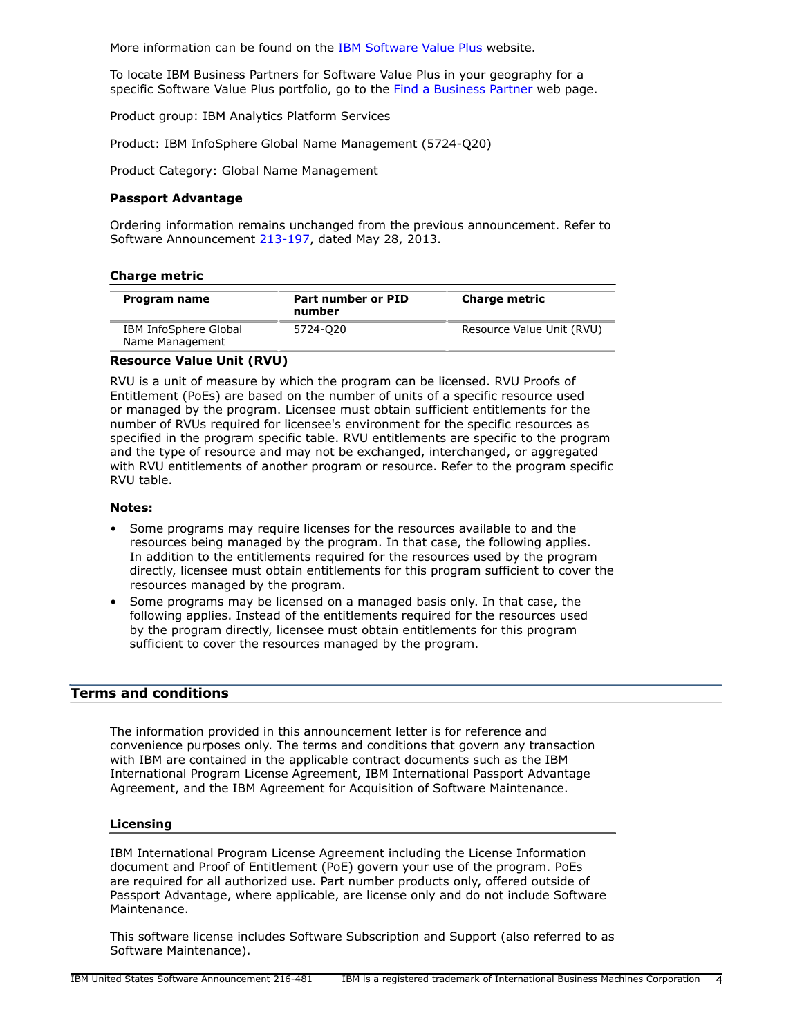More information can be found on the [IBM Software Value Plus](http://www.ibm.com/partnerworld/page/svp_authorized_portfolio) website.

To locate IBM Business Partners for Software Value Plus in your geography for a specific Software Value Plus portfolio, go to the [Find a Business Partner](http://www.ibm.com/partnerworld/wps/bplocator/) web page.

Product group: IBM Analytics Platform Services

Product: IBM InfoSphere Global Name Management (5724-Q20)

Product Category: Global Name Management

#### **Passport Advantage**

Ordering information remains unchanged from the previous announcement. Refer to Software Announcement [213-197,](http://www.ibm.com/common/ssi/cgi-bin/ssialias?infotype=an&subtype=ca&appname=gpateam&supplier=897&letternum=ENUS213-197) dated May 28, 2013.

| Program name                             | Part number or PID<br>number | <b>Charge metric</b>      |
|------------------------------------------|------------------------------|---------------------------|
| IBM InfoSphere Global<br>Name Management | 5724-020                     | Resource Value Unit (RVU) |

# **Resource Value Unit (RVU)**

RVU is a unit of measure by which the program can be licensed. RVU Proofs of Entitlement (PoEs) are based on the number of units of a specific resource used or managed by the program. Licensee must obtain sufficient entitlements for the number of RVUs required for licensee's environment for the specific resources as specified in the program specific table. RVU entitlements are specific to the program and the type of resource and may not be exchanged, interchanged, or aggregated with RVU entitlements of another program or resource. Refer to the program specific RVU table.

#### **Notes:**

- Some programs may require licenses for the resources available to and the resources being managed by the program. In that case, the following applies. In addition to the entitlements required for the resources used by the program directly, licensee must obtain entitlements for this program sufficient to cover the resources managed by the program.
- Some programs may be licensed on a managed basis only. In that case, the following applies. Instead of the entitlements required for the resources used by the program directly, licensee must obtain entitlements for this program sufficient to cover the resources managed by the program.

# <span id="page-3-0"></span>**Terms and conditions**

The information provided in this announcement letter is for reference and convenience purposes only. The terms and conditions that govern any transaction with IBM are contained in the applicable contract documents such as the IBM International Program License Agreement, IBM International Passport Advantage Agreement, and the IBM Agreement for Acquisition of Software Maintenance.

#### **Licensing**

IBM International Program License Agreement including the License Information document and Proof of Entitlement (PoE) govern your use of the program. PoEs are required for all authorized use. Part number products only, offered outside of Passport Advantage, where applicable, are license only and do not include Software Maintenance.

This software license includes Software Subscription and Support (also referred to as Software Maintenance).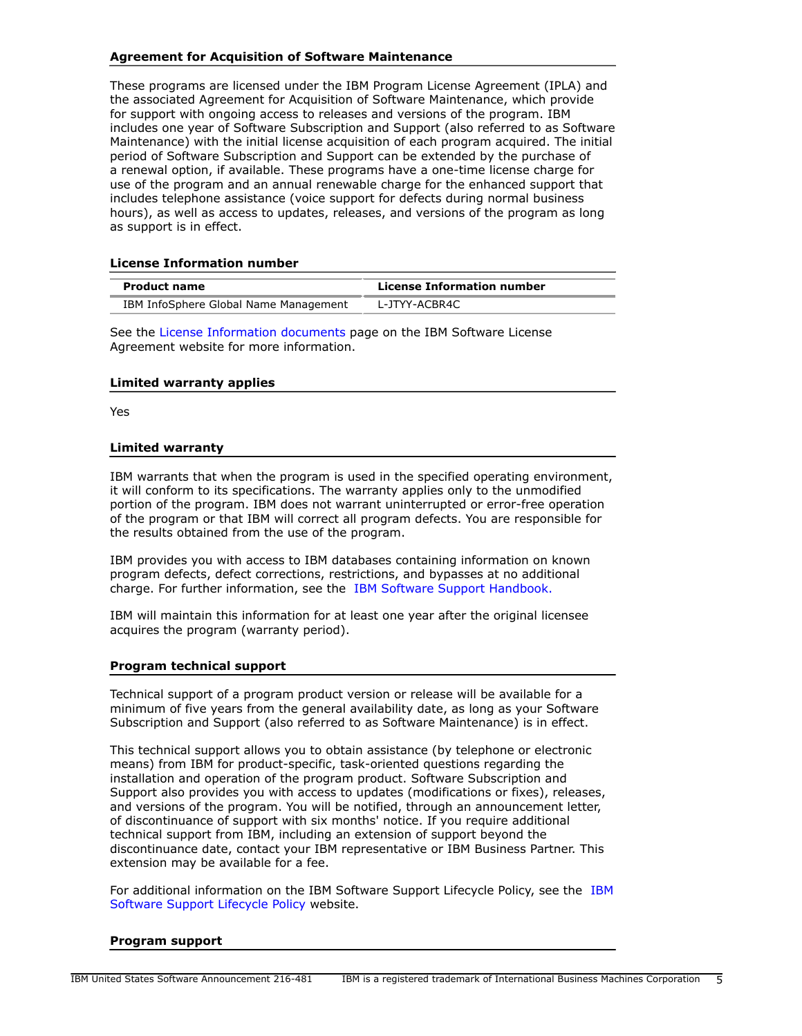# **Agreement for Acquisition of Software Maintenance**

These programs are licensed under the IBM Program License Agreement (IPLA) and the associated Agreement for Acquisition of Software Maintenance, which provide for support with ongoing access to releases and versions of the program. IBM includes one year of Software Subscription and Support (also referred to as Software Maintenance) with the initial license acquisition of each program acquired. The initial period of Software Subscription and Support can be extended by the purchase of a renewal option, if available. These programs have a one-time license charge for use of the program and an annual renewable charge for the enhanced support that includes telephone assistance (voice support for defects during normal business hours), as well as access to updates, releases, and versions of the program as long as support is in effect.

#### **License Information number**

| <b>Product name</b>                   | License Information number |
|---------------------------------------|----------------------------|
| IBM InfoSphere Global Name Management | L-JTYY-ACBR4C              |

See the [License Information documents](http://www.ibm.com/software/sla/sladb.nsf) page on the IBM Software License Agreement website for more information.

#### **Limited warranty applies**

Yes

#### **Limited warranty**

IBM warrants that when the program is used in the specified operating environment, it will conform to its specifications. The warranty applies only to the unmodified portion of the program. IBM does not warrant uninterrupted or error-free operation of the program or that IBM will correct all program defects. You are responsible for the results obtained from the use of the program.

IBM provides you with access to IBM databases containing information on known program defects, defect corrections, restrictions, and bypasses at no additional charge. For further information, see the [IBM Software Support Handbook.](http://www.ibm.com/support/customercare/sas/f/handbook/home.html)

IBM will maintain this information for at least one year after the original licensee acquires the program (warranty period).

#### **Program technical support**

Technical support of a program product version or release will be available for a minimum of five years from the general availability date, as long as your Software Subscription and Support (also referred to as Software Maintenance) is in effect.

This technical support allows you to obtain assistance (by telephone or electronic means) from IBM for product-specific, task-oriented questions regarding the installation and operation of the program product. Software Subscription and Support also provides you with access to updates (modifications or fixes), releases, and versions of the program. You will be notified, through an announcement letter, of discontinuance of support with six months' notice. If you require additional technical support from IBM, including an extension of support beyond the discontinuance date, contact your IBM representative or IBM Business Partner. This extension may be available for a fee.

For additional information on the IBM Software Support Lifecycle Policy, see the [IBM](http://www.ibm.com/software/support/lifecycle/lc-policy.html) [Software Support Lifecycle Policy](http://www.ibm.com/software/support/lifecycle/lc-policy.html) website.

#### **Program support**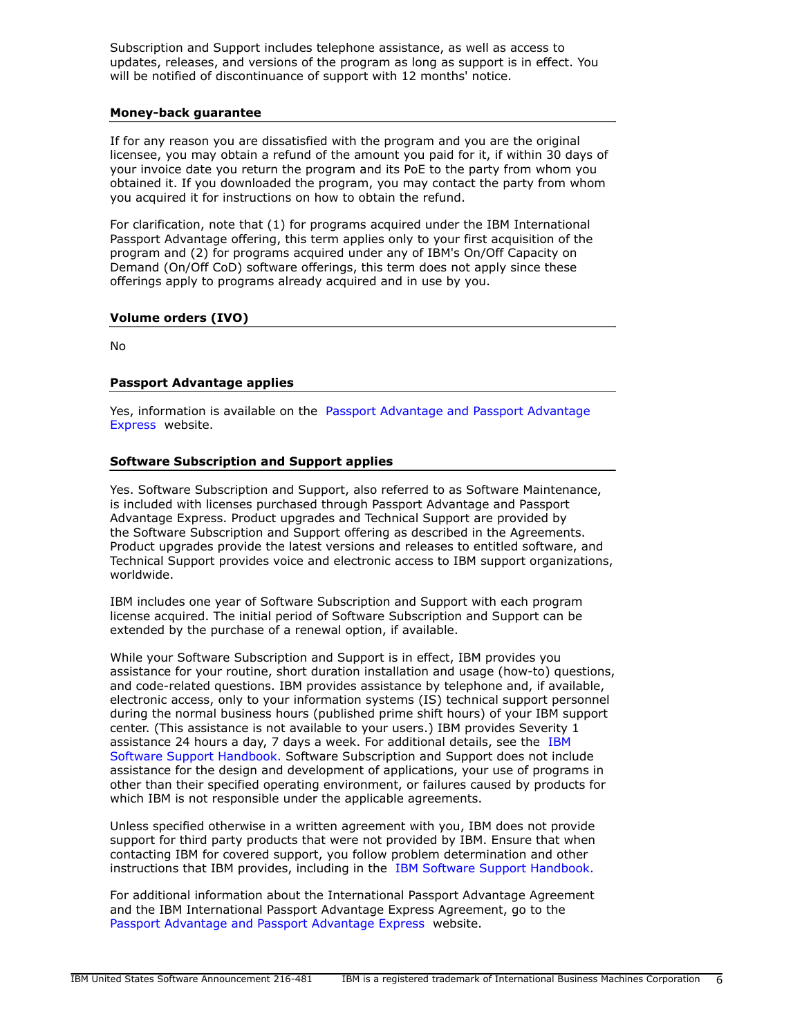Subscription and Support includes telephone assistance, as well as access to updates, releases, and versions of the program as long as support is in effect. You will be notified of discontinuance of support with 12 months' notice.

#### **Money-back guarantee**

If for any reason you are dissatisfied with the program and you are the original licensee, you may obtain a refund of the amount you paid for it, if within 30 days of your invoice date you return the program and its PoE to the party from whom you obtained it. If you downloaded the program, you may contact the party from whom you acquired it for instructions on how to obtain the refund.

For clarification, note that (1) for programs acquired under the IBM International Passport Advantage offering, this term applies only to your first acquisition of the program and (2) for programs acquired under any of IBM's On/Off Capacity on Demand (On/Off CoD) software offerings, this term does not apply since these offerings apply to programs already acquired and in use by you.

# **Volume orders (IVO)**

No

## **Passport Advantage applies**

Yes, information is available on the [Passport Advantage and Passport Advantage](http://www.ibm.com/software/passportadvantage) [Express](http://www.ibm.com/software/passportadvantage) website.

## **Software Subscription and Support applies**

Yes. Software Subscription and Support, also referred to as Software Maintenance, is included with licenses purchased through Passport Advantage and Passport Advantage Express. Product upgrades and Technical Support are provided by the Software Subscription and Support offering as described in the Agreements. Product upgrades provide the latest versions and releases to entitled software, and Technical Support provides voice and electronic access to IBM support organizations, worldwide.

IBM includes one year of Software Subscription and Support with each program license acquired. The initial period of Software Subscription and Support can be extended by the purchase of a renewal option, if available.

While your Software Subscription and Support is in effect, IBM provides you assistance for your routine, short duration installation and usage (how-to) questions, and code-related questions. IBM provides assistance by telephone and, if available, electronic access, only to your information systems (IS) technical support personnel during the normal business hours (published prime shift hours) of your IBM support center. (This assistance is not available to your users.) IBM provides Severity 1 assistance 24 hours a day, 7 days a week. For additional details, see the [IBM](http://www.ibm.com/support/customercare/sas/f/handbook/home.html) [Software Support Handbook.](http://www.ibm.com/support/customercare/sas/f/handbook/home.html) Software Subscription and Support does not include assistance for the design and development of applications, your use of programs in other than their specified operating environment, or failures caused by products for which IBM is not responsible under the applicable agreements.

Unless specified otherwise in a written agreement with you, IBM does not provide support for third party products that were not provided by IBM. Ensure that when contacting IBM for covered support, you follow problem determination and other instructions that IBM provides, including in the [IBM Software Support Handbook.](http://www.ibm.com/support/customercare/sas/f/handbook/home.html)

For additional information about the International Passport Advantage Agreement and the IBM International Passport Advantage Express Agreement, go to the [Passport Advantage and Passport Advantage Express](http://www.ibm.com/software/passportadvantage) website.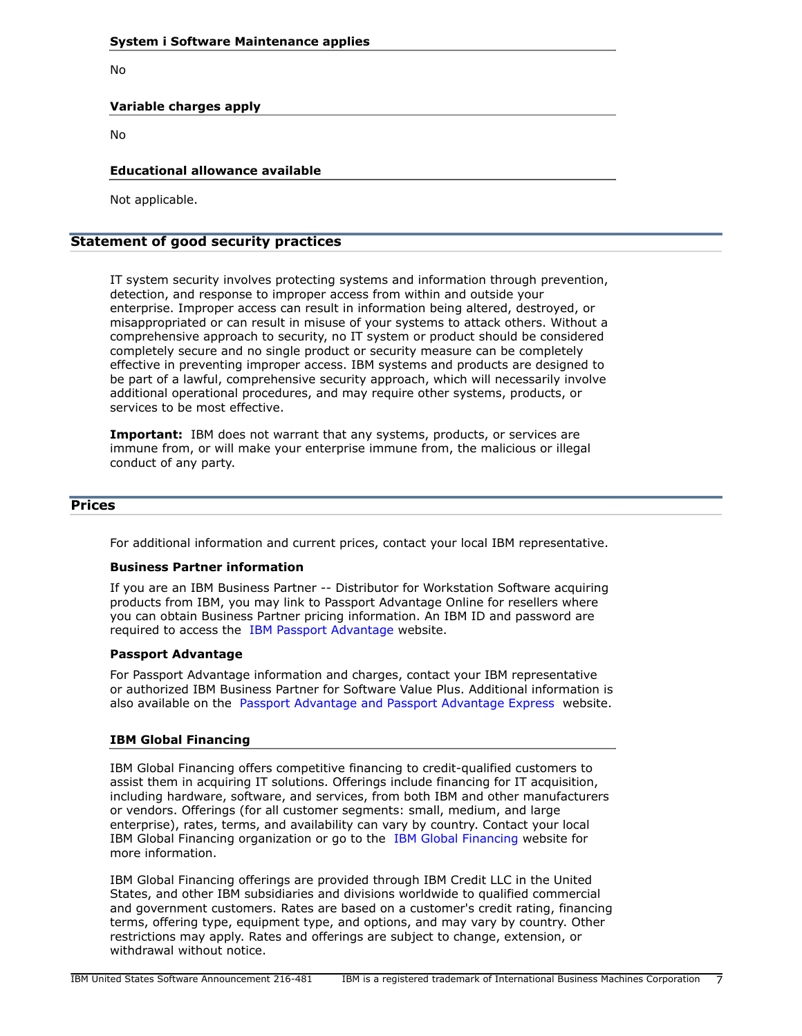No

# **Variable charges apply**

No

#### **Educational allowance available**

Not applicable.

# **Statement of good security practices**

IT system security involves protecting systems and information through prevention, detection, and response to improper access from within and outside your enterprise. Improper access can result in information being altered, destroyed, or misappropriated or can result in misuse of your systems to attack others. Without a comprehensive approach to security, no IT system or product should be considered completely secure and no single product or security measure can be completely effective in preventing improper access. IBM systems and products are designed to be part of a lawful, comprehensive security approach, which will necessarily involve additional operational procedures, and may require other systems, products, or services to be most effective.

**Important:** IBM does not warrant that any systems, products, or services are immune from, or will make your enterprise immune from, the malicious or illegal conduct of any party.

#### <span id="page-6-0"></span>**Prices**

For additional information and current prices, contact your local IBM representative.

#### **Business Partner information**

If you are an IBM Business Partner -- Distributor for Workstation Software acquiring products from IBM, you may link to Passport Advantage Online for resellers where you can obtain Business Partner pricing information. An IBM ID and password are required to access the [IBM Passport Advantage w](https://www.ibm.com/software/howtobuy/passportadvantage/paoreseller)ebsite.

#### **Passport Advantage**

For Passport Advantage information and charges, contact your IBM representative or authorized IBM Business Partner for Software Value Plus. Additional information is also available on the [Passport Advantage and Passport Advantage Express](http://www.ibm.com/software/passportadvantage) website.

#### **IBM Global Financing**

IBM Global Financing offers competitive financing to credit-qualified customers to assist them in acquiring IT solutions. Offerings include financing for IT acquisition, including hardware, software, and services, from both IBM and other manufacturers or vendors. Offerings (for all customer segments: small, medium, and large enterprise), rates, terms, and availability can vary by country. Contact your local IBM Global Financing organization or go to the [IBM Global Financing](http://www.ibm.com/financing) website for more information.

IBM Global Financing offerings are provided through IBM Credit LLC in the United States, and other IBM subsidiaries and divisions worldwide to qualified commercial and government customers. Rates are based on a customer's credit rating, financing terms, offering type, equipment type, and options, and may vary by country. Other restrictions may apply. Rates and offerings are subject to change, extension, or withdrawal without notice.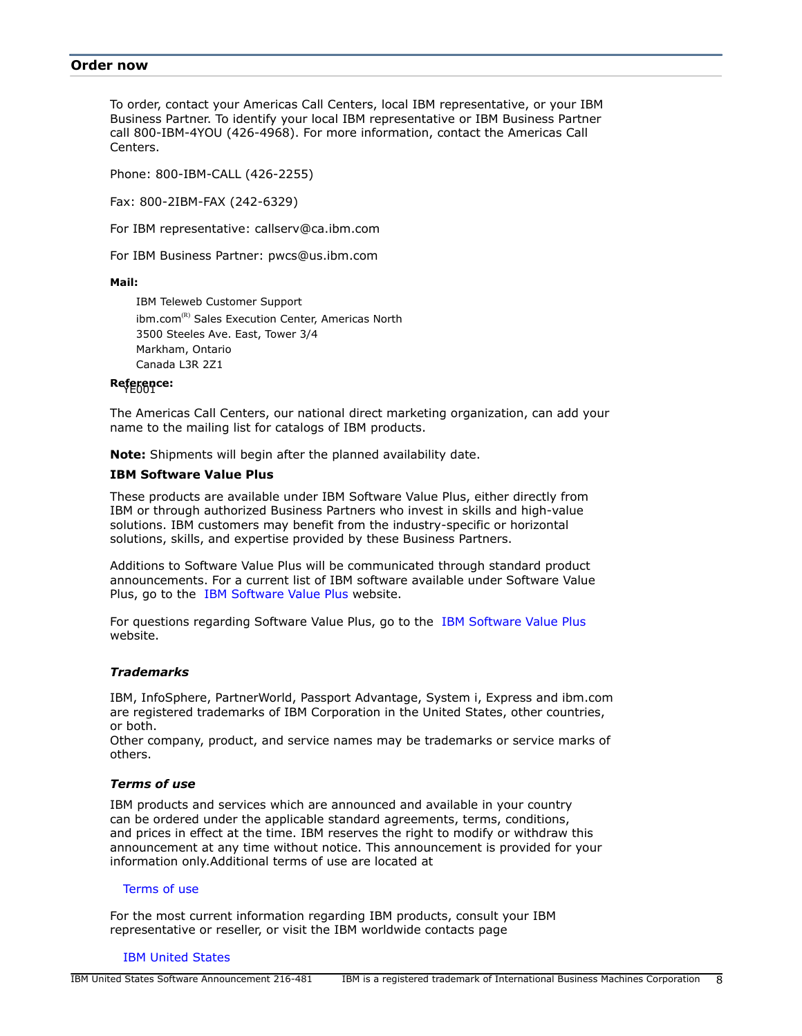#### <span id="page-7-0"></span>**Order now**

To order, contact your Americas Call Centers, local IBM representative, or your IBM Business Partner. To identify your local IBM representative or IBM Business Partner call 800-IBM-4YOU (426-4968). For more information, contact the Americas Call Centers.

Phone: 800-IBM-CALL (426-2255)

Fax: 800-2IBM-FAX (242-6329)

For IBM representative: callserv@ca.ibm.com

For IBM Business Partner: pwcs@us.ibm.com

#### **Mail:**

IBM Teleweb Customer Support ibm.com<sup>(R)</sup> Sales Execution Center, Americas North 3500 Steeles Ave. East, Tower 3/4 Markham, Ontario Canada L3R 2Z1

## Reference:

The Americas Call Centers, our national direct marketing organization, can add your name to the mailing list for catalogs of IBM products.

**Note:** Shipments will begin after the planned availability date.

## **IBM Software Value Plus**

These products are available under IBM Software Value Plus, either directly from IBM or through authorized Business Partners who invest in skills and high-value solutions. IBM customers may benefit from the industry-specific or horizontal solutions, skills, and expertise provided by these Business Partners.

Additions to Software Value Plus will be communicated through standard product announcements. For a current list of IBM software available under Software Value Plus, go to the [IBM Software Value Plus](https://www.ibm.com/partnerworld/wps/servlet/ContentHandler/software_value_plus) website.

For questions regarding Software Value Plus, go to the [IBM Software Value Plus](https://www.ibm.com/partnerworld/wps/servlet/ContentHandler/svp_authorized_portfolio) website.

#### *Trademarks*

IBM, InfoSphere, PartnerWorld, Passport Advantage, System i, Express and ibm.com are registered trademarks of IBM Corporation in the United States, other countries, or both.

Other company, product, and service names may be trademarks or service marks of others.

## *Terms of use*

IBM products and services which are announced and available in your country can be ordered under the applicable standard agreements, terms, conditions, and prices in effect at the time. IBM reserves the right to modify or withdraw this announcement at any time without notice. This announcement is provided for your information only.Additional terms of use are located at

#### [Terms of use](http://www.ibm.com/legal/us/en/)

For the most current information regarding IBM products, consult your IBM representative or reseller, or visit the IBM worldwide contacts page

#### [IBM United States](http://www.ibm.com/planetwide/us/)